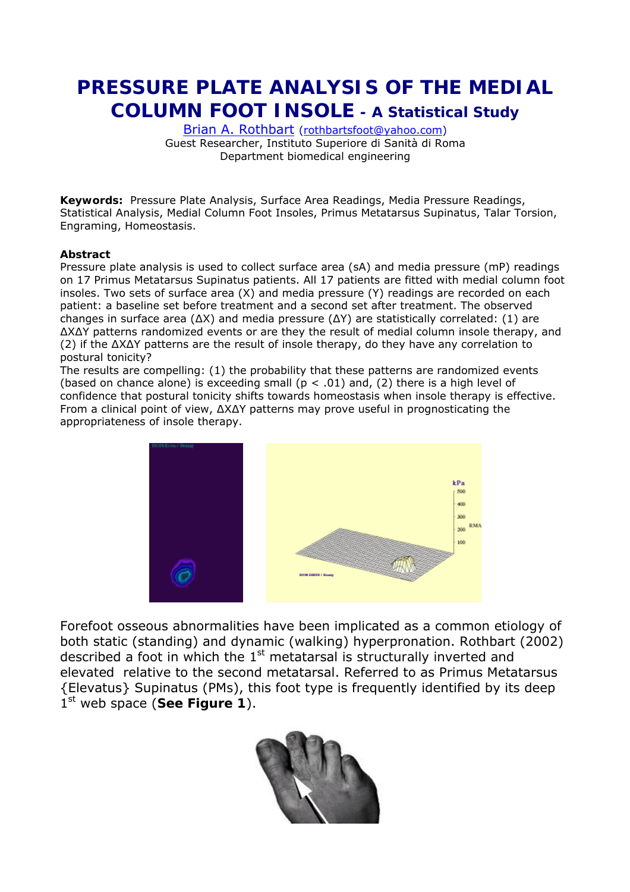# **PRESSURE PLATE ANALYSIS OF THE MEDIAL COLUMN FOOT INSOLE - A Statistical Study**

[Brian A. Rothbart](http://www.rothbartsfoot.bravehost.com/) ([rothbartsfoot@yahoo.com\)](mailto:rothbartsfoot@yahoo.com) Guest Researcher, Instituto Superiore di Sanità di Roma Department biomedical engineering

**Keywords:** Pressure Plate Analysis, Surface Area Readings, Media Pressure Readings, Statistical Analysis, Medial Column Foot Insoles, Primus Metatarsus Supinatus, Talar Torsion, Engraming, Homeostasis.

#### **Abstract**

Pressure plate analysis is used to collect surface area (sA) and media pressure (mP) readings on 17 Primus Metatarsus Supinatus patients. All 17 patients are fitted with medial column foot insoles. Two sets of surface area (X) and media pressure (Y) readings are recorded on each patient: a baseline set before treatment and a second set after treatment. The observed changes in surface area (∆X) and media pressure (∆Y) are statistically correlated: (1) are ∆X∆Y patterns randomized events or are they the result of medial column insole therapy, and (2) if the ∆X∆Y patterns are the result of insole therapy, do they have any correlation to postural tonicity?

The results are compelling: (1) the probability that these patterns are randomized events (based on chance alone) is exceeding small ( $p < .01$ ) and, (2) there is a high level of confidence that postural tonicity shifts towards homeostasis *when* insole therapy is effective. From a clinical point of view, ∆X∆Y patterns may prove useful in prognosticating the appropriateness of insole therapy.



Forefoot osseous abnormalities have been implicated as a common etiology of both static (standing) and dynamic (walking) hyperpronation. Rothbart (2002) described a foot in which the 1st metatarsal is *structurally inverted and elevated* relative to the second metatarsal. Referred to as Primus Metatarsus {Elevatus} Supinatus (PM*s*), this foot type is frequently identified by its deep 1<sup>st</sup> web space (See Figure 1).

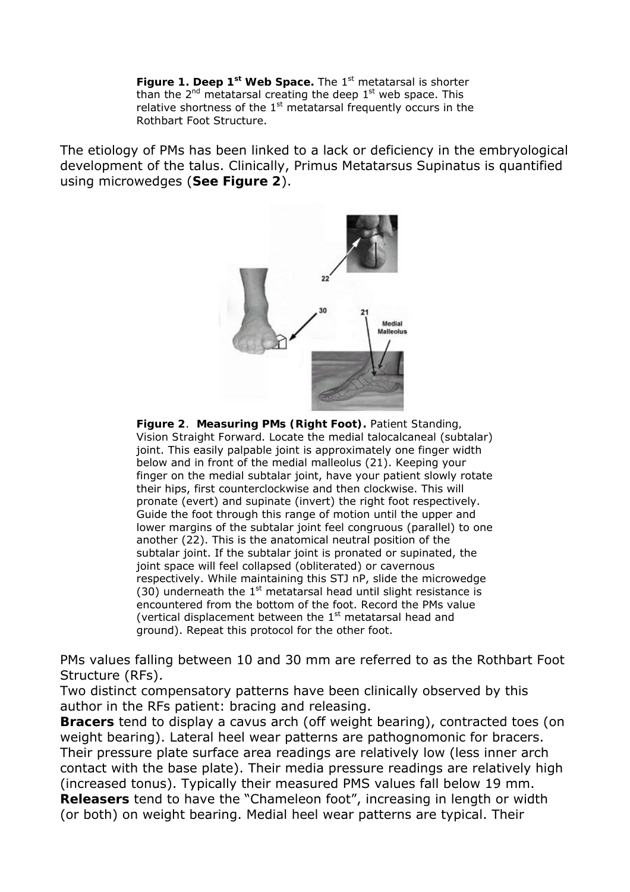Figure 1. Deep 1<sup>st</sup> Web Space. The 1<sup>st</sup> metatarsal is shorter than the  $2^{nd}$  metatarsal creating the deep  $1^{st}$  web space. This relative shortness of the  $1<sup>st</sup>$  metatarsal frequently occurs in the Rothbart Foot Structure.

The etiology of PMs has been linked to a lack or deficiency in the embryological development of the talus. Clinically, Primus Metatarsus Supinatus is quantified using microwedges (**See Figure 2**).



**Figure 2**. **Measuring PMs (Right Foot).** *Patient Standing, Vision Straight Forward*. Locate the medial talocalcaneal (subtalar) joint. This easily palpable joint is approximately one finger width below and in front of the medial malleolus (21). Keeping your finger on the medial subtalar joint, have your patient slowly rotate their hips, first counterclockwise and then clockwise. This will pronate (evert) and supinate (invert) the right foot respectively. Guide the foot through this range of motion until the upper and lower margins of the subtalar joint feel congruous (parallel) to one another (22). This is the anatomical neutral position of the subtalar joint. If the subtalar joint is pronated or supinated, the joint space will feel collapsed (obliterated) or cavernous respectively. While maintaining this STJ *n*P, slide the microwedge (30) underneath the  $1<sup>st</sup>$  metatarsal head until slight resistance is encountered from the bottom of the foot. Record the PMs value (vertical displacement between the  $1<sup>st</sup>$  metatarsal head and ground). Repeat this protocol for the other foot.

PMs values falling between 10 and 30 mm are referred to as the Rothbart Foot Structure (RFs).

Two distinct *compensatory* patterns have been clinically observed by this author in the RFs patient: bracing and releasing.

**Bracers** tend to display a cavus arch (off weight bearing), contracted toes (on weight bearing). Lateral heel wear patterns are pathognomonic for bracers. Their pressure plate surface area readings are relatively low (less inner arch contact with the base plate). Their media pressure readings are relatively high (increased tonus). Typically their measured PMS values fall below 19 mm. **Releasers** tend to have the "Chameleon foot", increasing in length or width (or both) on weight bearing. Medial heel wear patterns are typical. Their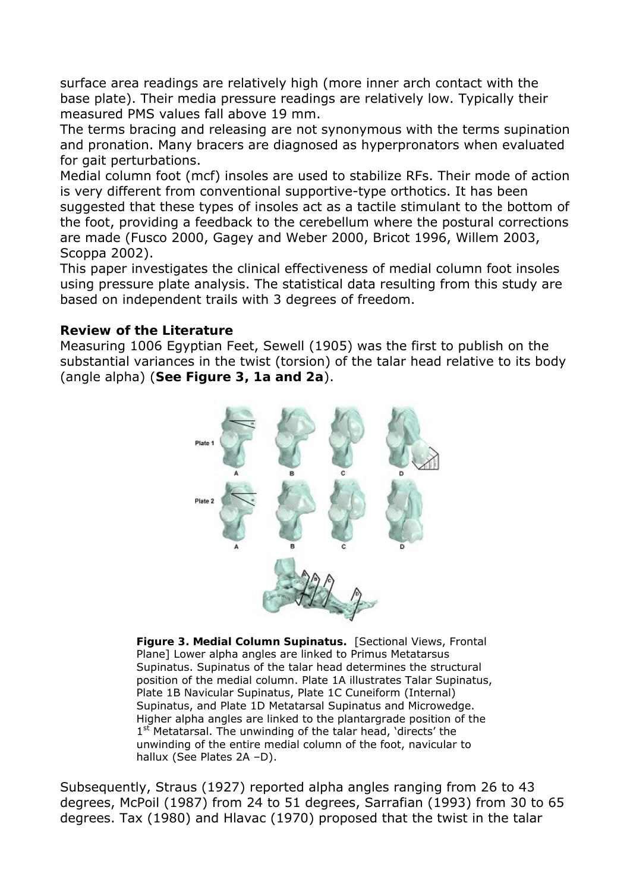surface area readings are relatively high (more inner arch contact with the base plate). Their media pressure readings are relatively low. Typically their measured PMS values fall above 19 mm.

The terms bracing and releasing are not synonymous with the terms supination and pronation. Many bracers are diagnosed as hyperpronators when evaluated for gait perturbations.

Medial column foot (mcf) insoles are used to stabilize RFs. Their mode of action is very different from conventional supportive-type orthotics. It has been suggested that these types of insoles act as a tactile stimulant to the bottom of the foot, providing a feedback to the cerebellum where the postural corrections are made (Fusco 2000, Gagey and Weber 2000, Bricot 1996, Willem 2003, Scoppa 2002).

This paper investigates the clinical effectiveness of medial column foot insoles using pressure plate analysis. The statistical data resulting from this study are based on independent trails with 3 degrees of freedom.

#### **Review of the Literature**

Measuring 1006 Egyptian Feet, Sewell (1905) was the first to publish on the substantial variances in the twist (torsion) of the talar head relative to its body (angle alpha) (**See Figure 3, 1a and 2a**).



**Figure 3. Medial Column Supinatus.** [Sectional Views, Frontal Plane] Lower alpha angles are linked to Primus Metatarsus Supinatus. Supinatus of the talar head determines the structural position of the medial column. Plate 1A illustrates Talar Supinatus, Plate 1B Navicular Supinatus, Plate 1C Cuneiform (Internal) Supinatus, and Plate 1D Metatarsal Supinatus and Microwedge. Higher alpha angles are linked to the plantargrade position of the 1<sup>st</sup> Metatarsal. The unwinding of the talar head, 'directs' the unwinding of the entire medial column of the foot, navicular to hallux (See Plates 2A –D).

Subsequently, Straus (1927) reported alpha angles ranging from 26 to 43 degrees, McPoil (1987) from 24 to 51 degrees, Sarrafian (1993) from 30 to 65 degrees. Tax (1980) and Hlavac (1970) proposed that the twist in the talar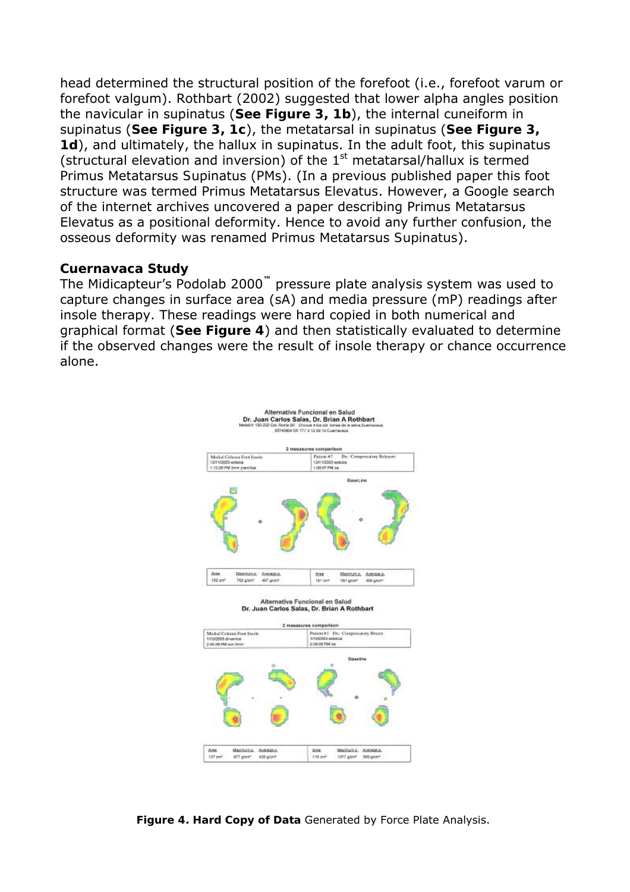head determined the structural position of the forefoot (i.e., forefoot varum or forefoot valgum). Rothbart (2002) suggested that lower alpha angles position the navicular in supinatus (**See Figure 3, 1b**), the internal cuneiform in supinatus (**See Figure 3, 1c**), the metatarsal in supinatus (**See Figure 3, 1d**), and ultimately, the hallux in supinatus. In the adult foot, this supinatus (structural elevation and inversion) of the  $1<sup>st</sup>$  metatarsal/hallux is termed Primus Metatarsus *S*upinatus (PM*s*). (In a previous published paper this foot structure was termed Primus Metatarsus *Elevatus*. However, a Google search of the internet archives uncovered a paper describing Primus Metatarsus Elevatus as a *positional* deformity. Hence to avoid any further confusion, the osseous deformity was renamed Primus Metatarsus *Supinatus*).

#### **Cuernavaca Study**

The Midicapteur's Podolab 2000**™** pressure plate analysis system was used to capture changes in surface area (sA) and media pressure (mP) readings after insole therapy. These readings were hard copied in both numerical and graphical format (**See Figure 4**) and then statistically evaluated to determine if the observed changes were the result of insole therapy or chance occurrence alone.



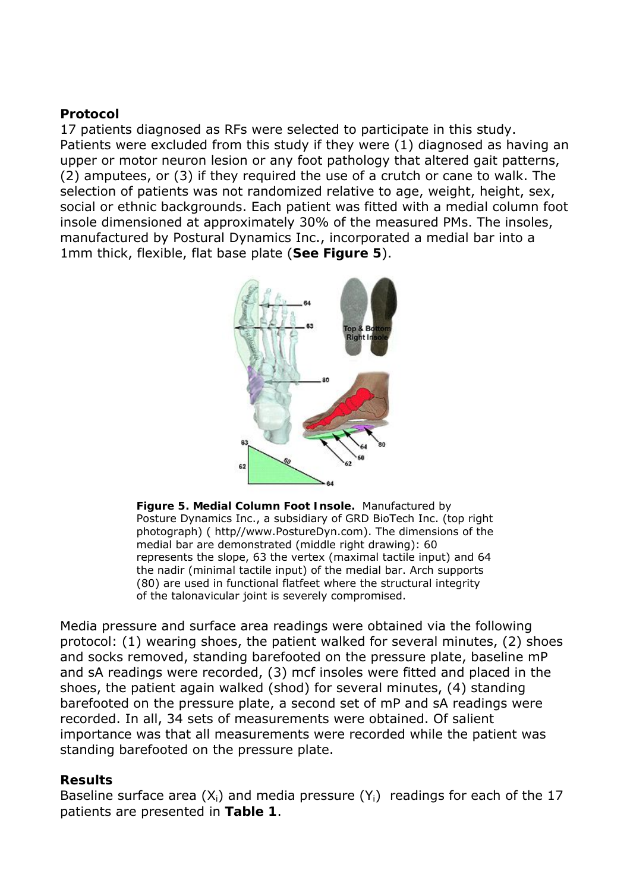#### **Protocol**

17 patients diagnosed as RFs were selected to participate in this study. Patients were excluded from this study if they were (1) diagnosed as having an upper or motor neuron lesion or any foot pathology that altered gait patterns, (2) amputees, or (3) if they required the use of a crutch or cane to walk. The selection of patients was not randomized relative to age, weight, height, sex, social or ethnic backgrounds. Each patient was fitted with a medial column foot insole dimensioned at approximately 30% of the measured PMs. The insoles, manufactured by Postural Dynamics Inc., incorporated a medial bar into a 1mm thick, flexible, flat base plate (**See Figure 5**).



**Figure 5. Medial Column Foot Insole.** Manufactured by Posture Dynamics Inc., a subsidiary of GRD BioTech Inc. (top right photograph) ( http//www.PostureDyn.com). The dimensions of the medial bar are demonstrated (middle right drawing): 60 represents the slope, 63 the vertex (maximal tactile input) and 64 the nadir (minimal tactile input) of the medial bar. Arch supports (80) are used in functional flatfeet where the structural integrity of the talonavicular joint is severely compromised.

Media pressure and surface area readings were obtained via the following protocol: (1) wearing shoes, the patient walked for several minutes, (2) shoes and socks removed, standing *barefooted* on the pressure plate, baseline mP and sA readings were recorded, (3) mcf insoles were fitted and placed in the shoes, the patient again walked (shod) for several minutes, (4) standing *barefooted* on the pressure plate, a second set of mP and sA readings were recorded. In all, 34 sets of measurements were obtained. Of salient importance was that all measurements were recorded while the patient was standing barefooted on the pressure plate.

#### **Results**

Baseline surface area  $(X_i)$  and media pressure  $(Y_i)$  readings for each of the 17 patients are presented in **Table 1**.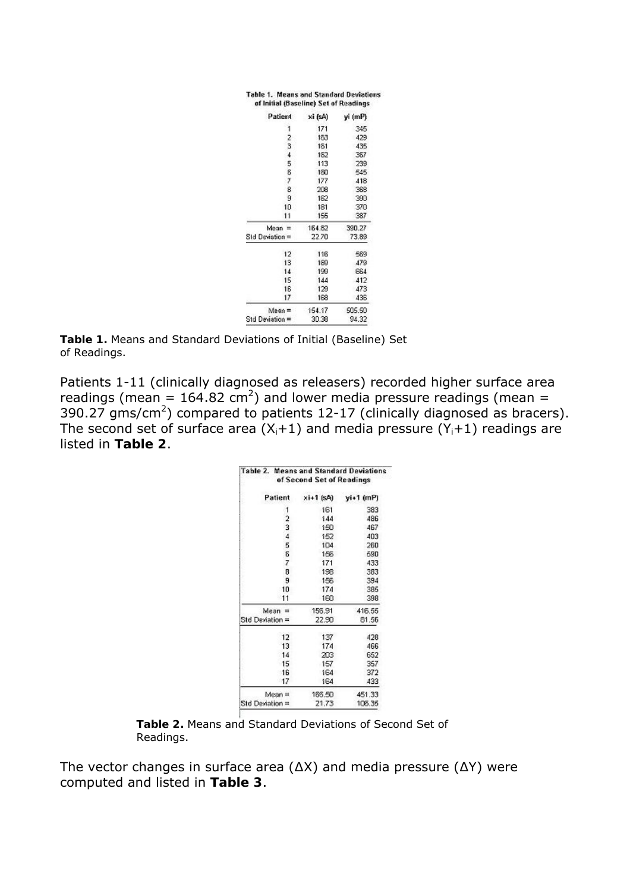| Patient         | xi (sA) | yi (mP) |
|-----------------|---------|---------|
| 1               | 171     | 345     |
|                 | 153     | 423     |
| $\frac{2}{3}$   | 181     | 435     |
| $\overline{4}$  | 182     | 367     |
| 5               | 113     | 239     |
| 8               | 150     | 545     |
| 7               | 177     | 418     |
| 8               | 208     | 368     |
| g               | 162     | 390     |
| 10              | 181     | 370     |
| 11              | 155     | 387     |
| $Mean =$        | 164.82  | 390.27  |
| SId Deviation = | 22.70   | 73.89   |
| 12              | 116     | 569     |
| 13              | 159     | 479     |
| 14              | 199     | 664     |
| 15              | 144     | 412     |
| 16              | 129     | 473     |
| 17              | 168     | 436     |
| $Mean =$        | 154.17  | 505.50  |
| Std Devistion = | 30.38   | 94.32   |

**Table 1.** Means and Standard Deviations of Initial (Baseline) Set of Readings.

Patients 1-11 (clinically diagnosed as releasers) recorded higher surface area readings (mean = 164.82 cm<sup>2</sup>) and lower media pressure readings (mean = 390.27 gms/cm<sup>2</sup>) compared to patients 12-17 (clinically diagnosed as bracers). The second set of surface area  $(X_i+1)$  and media pressure  $(Y_i+1)$  readings are listed in **Table 2**.

| <b>Table 2. Means and Standard Deviations</b> | of Second Set of Readings |           |
|-----------------------------------------------|---------------------------|-----------|
| Patient<br>ŝ                                  | $xi+1$ (sA)               | vi+1 (mP) |
| 1                                             | 161                       | 383       |
| 2                                             | 144                       | 486       |
| 3                                             | 150                       | 467       |
| $\frac{4}{5}$                                 | 152                       | 403       |
|                                               | 104                       | 260       |
| 6                                             | 156                       | 590       |
| 7                                             | 171                       | 433       |
| 8                                             | 198                       | 383       |
| 9                                             | 156                       | 394       |
| 10                                            | 174                       | 385       |
| 11                                            | 160                       | 398       |
| $Mean =$                                      | 156,91                    | 416.55    |
| Std Deviation =                               | 22.90                     | 81.56     |
| 12                                            | 137                       | 428       |
| 13                                            | 174                       | 466       |
| 14                                            | 203                       | 652       |
| 15                                            | 157                       | 357       |
| 16                                            | 164                       | 372       |
| 17                                            | 164                       | 433       |
| $Mean =$                                      | 186.50                    | 451.33    |
| Std Deviation =                               | 21.73                     | 106.35    |

**Table 2.** Means and Standard Deviations of Second Set of Readings.

The vector changes in surface area (∆X) and media pressure (∆Y) were computed and listed in **Table 3**.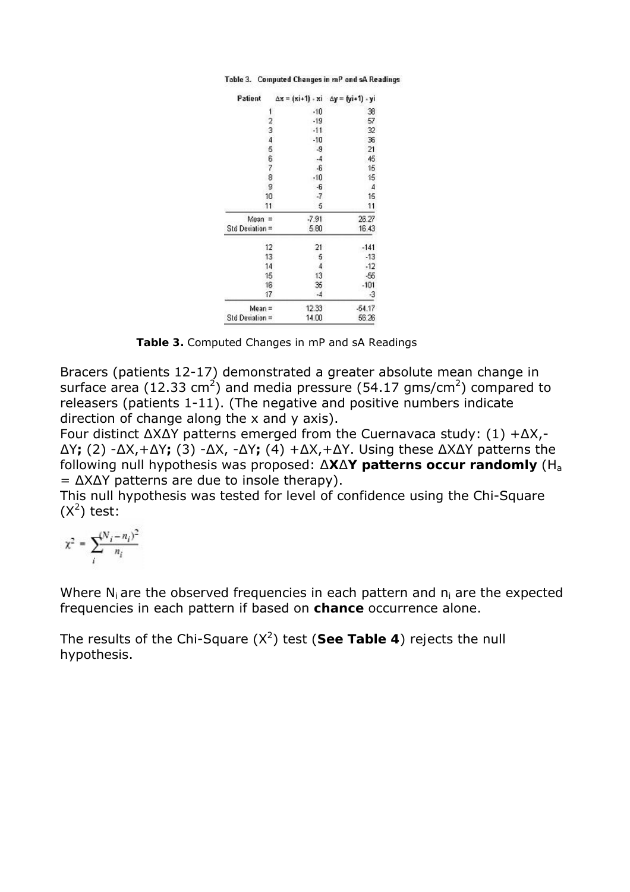Table 3. Computed Changes in mP and sA Readings

| Patient         | ∆x = (xi+1) - xi ∆y = (yi+1) - yi |          |
|-----------------|-----------------------------------|----------|
| 1               | $-10$                             | 38       |
| 2               | $-19$                             | 57       |
| 3               | $-11$                             | 32       |
| 4               | $-10$                             | 36       |
| 5               | $-9$                              | 21       |
| 6               | -4                                | 45       |
| 7               | $-6$                              | 15       |
| 8               | $-10$                             | 15       |
| g               | -6                                | 4        |
| 10              | -7                                | 15       |
| 11              | 5                                 | 11       |
| Mean =          | -7.91                             | 26.27    |
| Std Deviation = | 5.80                              | 16.43    |
| 12              | 21                                | $-141$   |
| 13              | 5                                 | $-13$    |
| 14              | 4                                 | $-12$    |
| 15              | 13                                | -56      |
| 16              | 35                                | $-101$   |
| 17              | -4                                | -3       |
| Mean =          | 12.33                             | $-54.17$ |
| Std Deviation = | 14.00                             | 56.26    |

**Table 3.** Computed Changes in mP and sA Readings

Bracers (patients 12-17) demonstrated a greater absolute mean change in surface area (12.33 cm<sup>2</sup>) and media pressure (54.17 gms/cm<sup>2</sup>) compared to releasers (patients 1-11). (The negative and positive numbers indicate direction of change along the x and y axis).

Four distinct ∆X∆Y patterns emerged from the Cuernavaca study: (1) +∆X,- ∆Y**;** (2) -∆X,+∆Y**;** (3) -∆X, -∆Y**;** (4) +∆X,+∆Y. Using these ∆X∆Y patterns the following null hypothesis was proposed: ∆**X**∆**Y patterns occur randomly** (Ha = ∆X∆Y patterns are due to insole therapy).

This null hypothesis was tested for level of confidence using the Chi-Square  $(X^2)$  test:

$$
\chi^2 = \sum_i^{(N_i - n_i)^2}
$$

Where N<sub>i</sub> are the *observed* frequencies in each pattern and n<sub>i</sub> are the *expected* frequencies in each pattern *if* based on **chance** occurrence alone.

The results of the Chi-Square (X<sup>2</sup>) test (See Table 4) *rejects* the null hypothesis.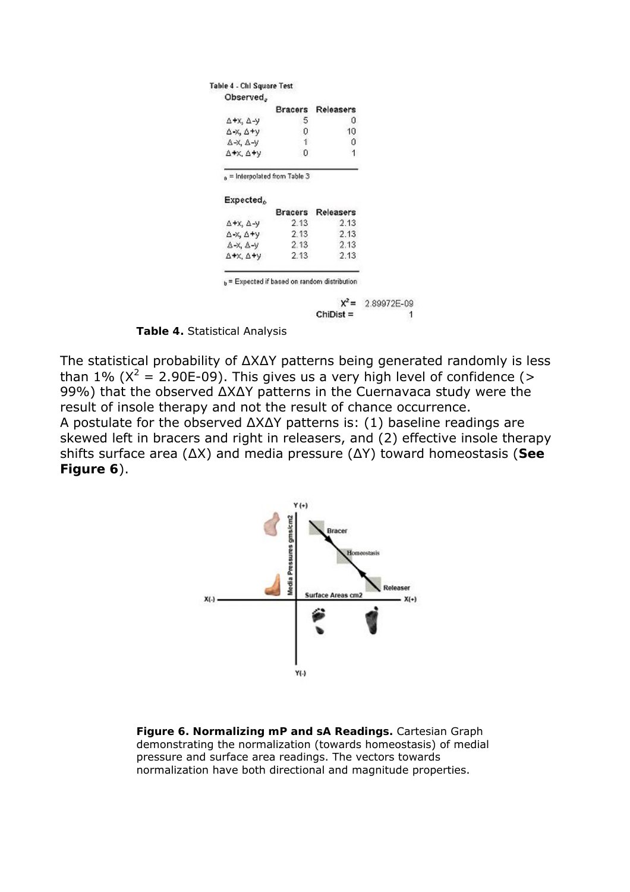|                                                              | <b>Bracers</b>                              | Releasers      |
|--------------------------------------------------------------|---------------------------------------------|----------------|
| $\Delta$ +x, $\Delta$ -y                                     | 5                                           | 0              |
| $\Delta$ -X, $\Delta$ +y                                     | 0                                           | 10             |
| $\Delta$ -X, $\Delta$ -V                                     | 1                                           | 0              |
|                                                              |                                             |                |
| $\Delta + \times$ , $\Delta + \vee$<br>Expected <sub>o</sub> | Ū<br>$_{\rm a}$ = Interpolated from Table 3 |                |
|                                                              | Bracers                                     | 1<br>Releasers |
| $\Delta$ +x, $\Delta$ -y                                     | 2.13                                        |                |
| $\Delta$ -X, $\Delta$ +y                                     | 2.13                                        | 2.13<br>2.13   |
| $\Delta$ -X, $\Delta$ -V                                     | 2.13                                        | 2.13           |

 $X^2$  = 2.89972E-09  $Chi =$ 1

**Table 4.** Statistical Analysis

The statistical probability of ∆X∆Y patterns being generated randomly is less than 1% ( $X^2 = 2.90E-09$ ). This gives us a very high level of confidence (> 99%) that the observed ∆X∆Y patterns in the Cuernavaca study were the result of insole therapy and not the result of chance occurrence. A postulate for the observed ∆X∆Y patterns is: (1) baseline readings are skewed left in bracers and right in releasers, and (2) effective insole therapy shifts surface area (∆X) and media pressure (∆Y) toward homeostasis (**See Figure 6**).



**Figure 6. Normalizing mP and sA Readings.** Cartesian Graph demonstrating the normalization (towards homeostasis) of medial pressure and surface area readings. The vectors towards normalization have both directional and magnitude properties.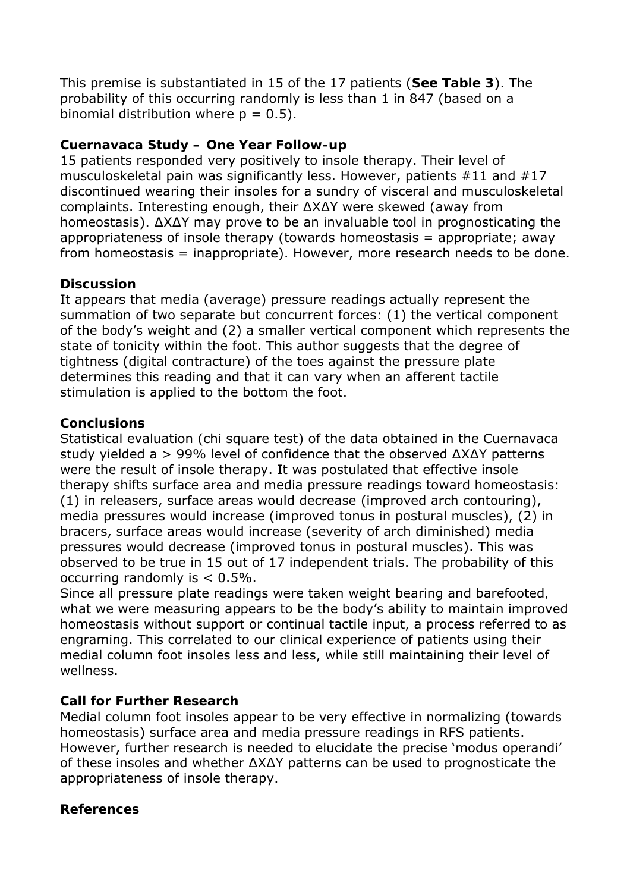This premise is substantiated in 15 of the 17 patients (**See Table 3**). The probability of this occurring randomly is less than 1 in 847 (based on a binomial distribution where  $p = 0.5$ ).

# **Cuernavaca Study – One Year Follow-up**

15 patients responded very positively to insole therapy. Their level of musculoskeletal pain was significantly less. However, patients #11 and #17 discontinued wearing their insoles for a sundry of visceral and musculoskeletal complaints. Interesting enough, their ∆X∆Y were skewed (away from homeostasis). ∆X∆Y may prove to be an invaluable tool in prognosticating the appropriateness of insole therapy (towards homeostasis = appropriate; away from homeostasis = inappropriate). However, more research needs to be done.

## **Discussion**

It appears that media (average) pressure readings actually represent the summation of two separate but concurrent forces: (1) the vertical component of the body's weight and (2) a smaller vertical component which represents the state of tonicity within the foot. This author suggests that the degree of tightness (digital contracture) of the toes against the pressure plate determines this reading and that it can vary when an afferent tactile stimulation is applied to the bottom the foot.

## **Conclusions**

Statistical evaluation (chi square test) of the data obtained in the Cuernavaca study yielded a > 99% level of confidence that the observed ∆X∆Y patterns were the result of insole therapy. It was postulated that *effective* insole therapy shifts surface area and media pressure readings toward homeostasis: (1) in releasers, surface areas would decrease (improved arch contouring), media pressures would increase (improved tonus in postural muscles), (2) in bracers, surface areas would increase (severity of arch diminished) media pressures would decrease (improved tonus in postural muscles). This was observed to be true in 15 out of 17 independent trials. The probability of this occurring randomly is < 0.5%.

Since all pressure plate readings were taken weight bearing and barefooted*,*  what we were measuring appears to be the body's ability to maintain improved homeostasis without support or continual tactile input, a process referred to as engraming. This correlated to our clinical experience of patients using their medial column foot insoles less and less, while still maintaining their level of wellness.

# **Call for Further Research**

Medial column foot insoles appear to be very effective in normalizing (towards homeostasis) surface area and media pressure readings in RFS patients. However, further research is needed to elucidate the precise 'modus operandi' of these insoles and whether ∆X∆Y patterns can be used to prognosticate the appropriateness of insole therapy.

# **References**